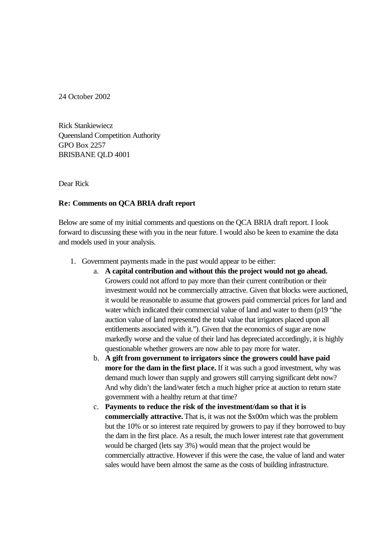24 October 2002

Rick Stankiewiecz Queensland Competition Authority GPO Box 2257 BRISBANE QLD 4001

Dear Rick

## **Re: Comments on QCA BRIA draft report**

Below are some of my initial comments and questions on the QCA BRIA draft report. I look forward to discussing these with you in the near future. I would also be keen to examine the data and models used in your analysis.

- 1. Government payments made in the past would appear to be either:
	- a. **A capital contribution and without this the project would not go ahead.** Growers could not afford to pay more than their current contribution or their investment would not be commercially attractive. Given that blocks were auctioned, it would be reasonable to assume that growers paid commercial prices for land and water which indicated their commercial value of land and water to them (p19 "the auction value of land represented the total value that irrigators placed upon all entitlements associated with it."). Given that the economics of sugar are now markedly worse and the value of their land has depreciated accordingly, it is highly questionable whether growers are now able to pay more for water.
	- b. **A gift from government to irrigators since the growers could have paid more for the dam in the first place.** If it was such a good investment, why was demand much lower than supply and growers still carrying significant debt now? And why didn't the land/water fetch a much higher price at auction to return state government with a healthy return at that time?
	- c. **Payments to reduce the risk of the investment/dam so that it is commercially attractive.** That is, it was not the \$x00m which was the problem but the 10% or so interest rate required by growers to pay if they borrowed to buy the dam in the first place. As a result, the much lower interest rate that government would be charged (lets say 3%) would mean that the project would be commercially attractive. However if this were the case, the value of land and water sales would have been almost the same as the costs of building infrastructure.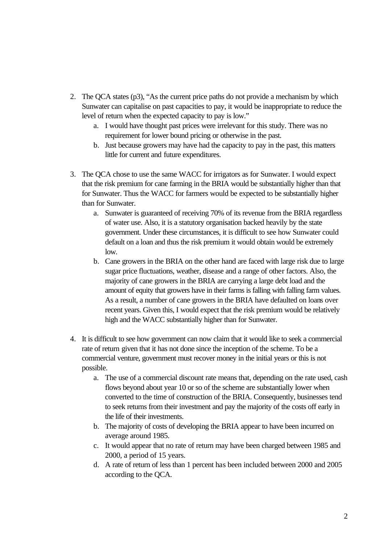- 2. The QCA states (p3), "As the current price paths do not provide a mechanism by which Sunwater can capitalise on past capacities to pay, it would be inappropriate to reduce the level of return when the expected capacity to pay is low."
	- a. I would have thought past prices were irrelevant for this study. There was no requirement for lower bound pricing or otherwise in the past.
	- b. Just because growers may have had the capacity to pay in the past, this matters little for current and future expenditures.
- 3. The QCA chose to use the same WACC for irrigators as for Sunwater. I would expect that the risk premium for cane farming in the BRIA would be substantially higher than that for Sunwater. Thus the WACC for farmers would be expected to be substantially higher than for Sunwater.
	- a. Sunwater is guaranteed of receiving 70% of its revenue from the BRIA regardless of water use. Also, it is a statutory organisation backed heavily by the state government. Under these circumstances, it is difficult to see how Sunwater could default on a loan and thus the risk premium it would obtain would be extremely low.
	- b. Cane growers in the BRIA on the other hand are faced with large risk due to large sugar price fluctuations, weather, disease and a range of other factors. Also, the majority of cane growers in the BRIA are carrying a large debt load and the amount of equity that growers have in their farms is falling with falling farm values. As a result, a number of cane growers in the BRIA have defaulted on loans over recent years. Given this, I would expect that the risk premium would be relatively high and the WACC substantially higher than for Sunwater.
- 4. It is difficult to see how government can now claim that it would like to seek a commercial rate of return given that it has not done since the inception of the scheme. To be a commercial venture, government must recover money in the initial years or this is not possible.
	- a. The use of a commercial discount rate means that, depending on the rate used, cash flows beyond about year 10 or so of the scheme are substantially lower when converted to the time of construction of the BRIA. Consequently, businesses tend to seek returns from their investment and pay the majority of the costs off early in the life of their investments.
	- b. The majority of costs of developing the BRIA appear to have been incurred on average around 1985.
	- c. It would appear that no rate of return may have been charged between 1985 and 2000, a period of 15 years.
	- d. A rate of return of less than 1 percent has been included between 2000 and 2005 according to the QCA.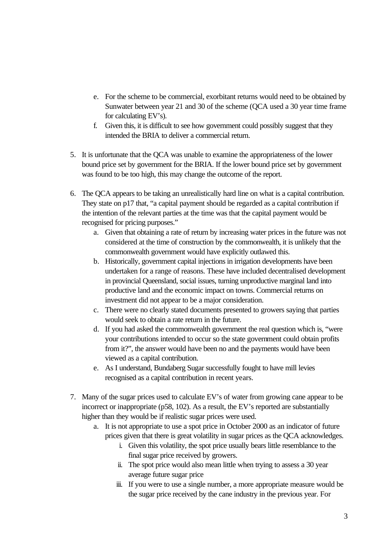- e. For the scheme to be commercial, exorbitant returns would need to be obtained by Sunwater between year 21 and 30 of the scheme (QCA used a 30 year time frame for calculating EV's).
- f. Given this, it is difficult to see how government could possibly suggest that they intended the BRIA to deliver a commercial return.
- 5. It is unfortunate that the QCA was unable to examine the appropriateness of the lower bound price set by government for the BRIA. If the lower bound price set by government was found to be too high, this may change the outcome of the report.
- 6. The QCA appears to be taking an unrealistically hard line on what is a capital contribution. They state on p17 that, "a capital payment should be regarded as a capital contribution if the intention of the relevant parties at the time was that the capital payment would be recognised for pricing purposes."
	- a. Given that obtaining a rate of return by increasing water prices in the future was not considered at the time of construction by the commonwealth, it is unlikely that the commonwealth government would have explicitly outlawed this.
	- b. Historically, government capital injections in irrigation developments have been undertaken for a range of reasons. These have included decentralised development in provincial Queensland, social issues, turning unproductive marginal land into productive land and the economic impact on towns. Commercial returns on investment did not appear to be a major consideration.
	- c. There were no clearly stated documents presented to growers saying that parties would seek to obtain a rate return in the future.
	- d. If you had asked the commonwealth government the real question which is, "were your contributions intended to occur so the state government could obtain profits from it?", the answer would have been no and the payments would have been viewed as a capital contribution.
	- e. As I understand, Bundaberg Sugar successfully fought to have mill levies recognised as a capital contribution in recent years.
- 7. Many of the sugar prices used to calculate EV's of water from growing cane appear to be incorrect or inappropriate (p58, 102). As a result, the EV's reported are substantially higher than they would be if realistic sugar prices were used.
	- a. It is not appropriate to use a spot price in October 2000 as an indicator of future prices given that there is great volatility in sugar prices as the QCA acknowledges.
		- i. Given this volatility, the spot price usually bears little resemblance to the final sugar price received by growers.
		- ii. The spot price would also mean little when trying to assess a 30 year average future sugar price
		- iii. If you were to use a single number, a more appropriate measure would be the sugar price received by the cane industry in the previous year. For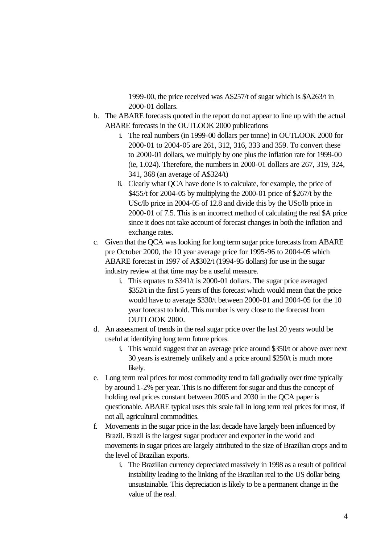1999-00, the price received was A\$257/t of sugar which is \$A263/t in 2000-01 dollars.

- b. The ABARE forecasts quoted in the report do not appear to line up with the actual ABARE forecasts in the OUTLOOK 2000 publications
	- i. The real numbers (in 1999-00 dollars per tonne) in OUTLOOK 2000 for 2000-01 to 2004-05 are 261, 312, 316, 333 and 359. To convert these to 2000-01 dollars, we multiply by one plus the inflation rate for 1999-00 (ie, 1.024). Therefore, the numbers in 2000-01 dollars are 267, 319, 324, 341, 368 (an average of A\$324/t)
	- ii. Clearly what QCA have done is to calculate, for example, the price of \$455/t for 2004-05 by multiplying the 2000-01 price of \$267/t by the USc/lb price in 2004-05 of 12.8 and divide this by the USc/lb price in 2000-01 of 7.5. This is an incorrect method of calculating the real \$A price since it does not take account of forecast changes in both the inflation and exchange rates.
- c. Given that the QCA was looking for long term sugar price forecasts from ABARE pre October 2000, the 10 year average price for 1995-96 to 2004-05 which ABARE forecast in 1997 of A\$302/t (1994-95 dollars) for use in the sugar industry review at that time may be a useful measure.
	- i. This equates to \$341/t is 2000-01 dollars. The sugar price averaged \$352/t in the first 5 years of this forecast which would mean that the price would have to average \$330/t between 2000-01 and 2004-05 for the 10 year forecast to hold. This number is very close to the forecast from OUTLOOK 2000.
- d. An assessment of trends in the real sugar price over the last 20 years would be useful at identifying long term future prices.
	- i. This would suggest that an average price around \$350/t or above over next 30 years is extremely unlikely and a price around \$250/t is much more likely.
- e. Long term real prices for most commodity tend to fall gradually over time typically by around 1-2% per year. This is no different for sugar and thus the concept of holding real prices constant between 2005 and 2030 in the QCA paper is questionable. ABARE typical uses this scale fall in long term real prices for most, if not all, agricultural commodities.
- f. Movements in the sugar price in the last decade have largely been influenced by Brazil. Brazil is the largest sugar producer and exporter in the world and movements in sugar prices are largely attributed to the size of Brazilian crops and to the level of Brazilian exports.
	- i. The Brazilian currency depreciated massively in 1998 as a result of political instability leading to the linking of the Brazilian real to the US dollar being unsustainable. This depreciation is likely to be a permanent change in the value of the real.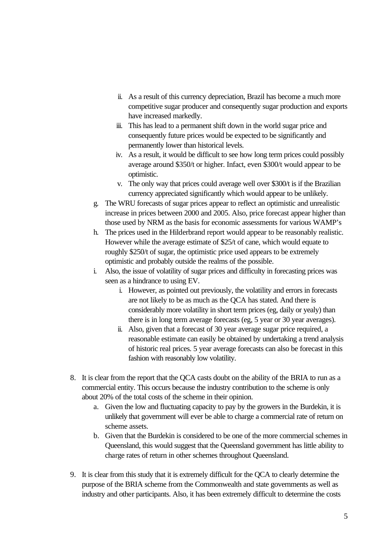- ii. As a result of this currency depreciation, Brazil has become a much more competitive sugar producer and consequently sugar production and exports have increased markedly.
- iii. This has lead to a permanent shift down in the world sugar price and consequently future prices would be expected to be significantly and permanently lower than historical levels.
- iv. As a result, it would be difficult to see how long term prices could possibly average around \$350/t or higher. Infact, even \$300/t would appear to be optimistic.
- v. The only way that prices could average well over \$300/t is if the Brazilian currency appreciated significantly which would appear to be unlikely.
- g. The WRU forecasts of sugar prices appear to reflect an optimistic and unrealistic increase in prices between 2000 and 2005. Also, price forecast appear higher than those used by NRM as the basis for economic assessments for various WAMP's
- h. The prices used in the Hilderbrand report would appear to be reasonably realistic. However while the average estimate of \$25/t of cane, which would equate to roughly \$250/t of sugar, the optimistic price used appears to be extremely optimistic and probably outside the realms of the possible.
- i. Also, the issue of volatility of sugar prices and difficulty in forecasting prices was seen as a hindrance to using EV.
	- i. However, as pointed out previously, the volatility and errors in forecasts are not likely to be as much as the QCA has stated. And there is considerably more volatility in short term prices (eg, daily or yealy) than there is in long term average forecasts (eg, 5 year or 30 year averages).
	- ii. Also, given that a forecast of 30 year average sugar price required, a reasonable estimate can easily be obtained by undertaking a trend analysis of historic real prices. 5 year average forecasts can also be forecast in this fashion with reasonably low volatility.
- 8. It is clear from the report that the QCA casts doubt on the ability of the BRIA to run as a commercial entity. This occurs because the industry contribution to the scheme is only about 20% of the total costs of the scheme in their opinion.
	- a. Given the low and fluctuating capacity to pay by the growers in the Burdekin, it is unlikely that government will ever be able to charge a commercial rate of return on scheme assets.
	- b. Given that the Burdekin is considered to be one of the more commercial schemes in Queensland, this would suggest that the Queensland government has little ability to charge rates of return in other schemes throughout Queensland.
- 9. It is clear from this study that it is extremely difficult for the QCA to clearly determine the purpose of the BRIA scheme from the Commonwealth and state governments as well as industry and other participants. Also, it has been extremely difficult to determine the costs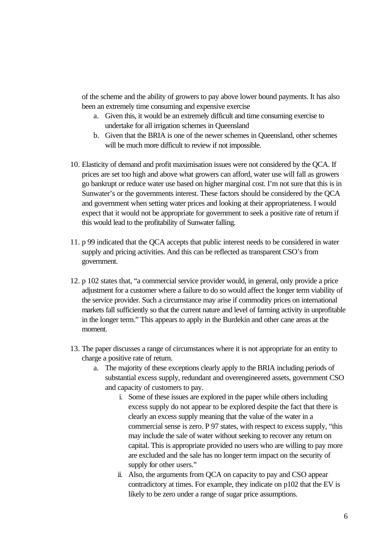of the scheme and the ability of growers to pay above lower bound payments. It has also been an extremely time consuming and expensive exercise

- a. Given this, it would be an extremely difficult and time consuming exercise to undertake for all irrigation schemes in Queensland
- b. Given that the BRIA is one of the newer schemes in Queensland, other schemes will be much more difficult to review if not impossible.
- 10. Elasticity of demand and profit maximisation issues were not considered by the QCA. If prices are set too high and above what growers can afford, water use will fall as growers go bankrupt or reduce water use based on higher marginal cost. I'm not sure that this is in Sunwater's or the governments interest. These factors should be considered by the QCA and government when setting water prices and looking at their appropriateness. I would expect that it would not be appropriate for government to seek a positive rate of return if this would lead to the profitability of Sunwater falling.
- 11. p 99 indicated that the QCA accepts that public interest needs to be considered in water supply and pricing activities. And this can be reflected as transparent CSO's from government.
- 12. p 102 states that, "a commercial service provider would, in general, only provide a price adjustment for a customer where a failure to do so would affect the longer term viability of the service provider. Such a circumstance may arise if commodity prices on international markets fall sufficiently so that the current nature and level of farming activity in unprofitable in the longer term." This appears to apply in the Burdekin and other cane areas at the moment.
- 13. The paper discusses a range of circumstances where it is not appropriate for an entity to charge a positive rate of return.
	- a. The majority of these exceptions clearly apply to the BRIA including periods of substantial excess supply, redundant and overengineered assets, government CSO and capacity of customers to pay.
		- i. Some of these issues are explored in the paper while others including excess supply do not appear to be explored despite the fact that there is clearly an excess supply meaning that the value of the water in a commercial sense is zero. P 97 states, with respect to excess supply, "this may include the sale of water without seeking to recover any return on capital. This is appropriate provided no users who are willing to pay more are excluded and the sale has no longer term impact on the security of supply for other users."
		- ii. Also, the arguments from QCA on capacity to pay and CSO appear contradictory at times. For example, they indicate on p102 that the EV is likely to be zero under a range of sugar price assumptions.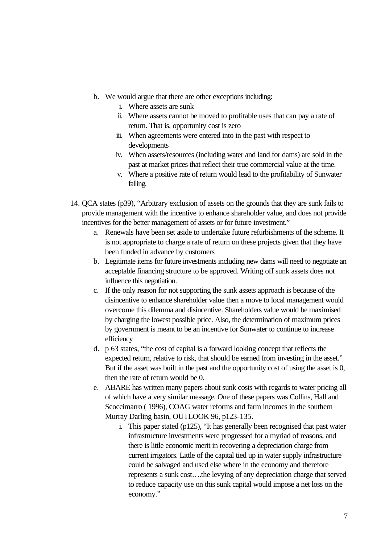- b. We would argue that there are other exceptions including:
	- i. Where assets are sunk
	- ii. Where assets cannot be moved to profitable uses that can pay a rate of return. That is, opportunity cost is zero
	- iii. When agreements were entered into in the past with respect to developments
	- iv. When assets/resources (including water and land for dams) are sold in the past at market prices that reflect their true commercial value at the time.
	- v. Where a positive rate of return would lead to the profitability of Sunwater falling.
- 14. QCA states (p39), "Arbitrary exclusion of assets on the grounds that they are sunk fails to provide management with the incentive to enhance shareholder value, and does not provide incentives for the better management of assets or for future investment."
	- a. Renewals have been set aside to undertake future refurbishments of the scheme. It is not appropriate to charge a rate of return on these projects given that they have been funded in advance by customers
	- b. Legitimate items for future investments including new dams will need to negotiate an acceptable financing structure to be approved. Writing off sunk assets does not influence this negotiation.
	- c. If the only reason for not supporting the sunk assets approach is because of the disincentive to enhance shareholder value then a move to local management would overcome this dilemma and disincentive. Shareholders value would be maximised by charging the lowest possible price. Also, the determination of maximum prices by government is meant to be an incentive for Sunwater to continue to increase efficiency
	- d. p 63 states, "the cost of capital is a forward looking concept that reflects the expected return, relative to risk, that should be earned from investing in the asset." But if the asset was built in the past and the opportunity cost of using the asset is 0, then the rate of return would be 0.
	- e. ABARE has written many papers about sunk costs with regards to water pricing all of which have a very similar message. One of these papers was Collins, Hall and Scoccimarro ( 1996), COAG water reforms and farm incomes in the southern Murray Darling basin, OUTLOOK 96, p123-135.
		- i. This paper stated (p125), "It has generally been recognised that past water infrastructure investments were progressed for a myriad of reasons, and there is little economic merit in recovering a depreciation charge from current irrigators. Little of the capital tied up in water supply infrastructure could be salvaged and used else where in the economy and therefore represents a sunk cost….the levying of any depreciation charge that served to reduce capacity use on this sunk capital would impose a net loss on the economy."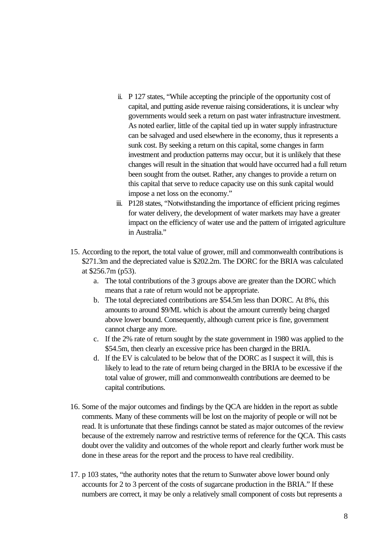- ii. P 127 states, "While accepting the principle of the opportunity cost of capital, and putting aside revenue raising considerations, it is unclear why governments would seek a return on past water infrastructure investment. As noted earlier, little of the capital tied up in water supply infrastructure can be salvaged and used elsewhere in the economy, thus it represents a sunk cost. By seeking a return on this capital, some changes in farm investment and production patterns may occur, but it is unlikely that these changes will result in the situation that would have occurred had a full return been sought from the outset. Rather, any changes to provide a return on this capital that serve to reduce capacity use on this sunk capital would impose a net loss on the economy."
- iii. P128 states, "Notwithstanding the importance of efficient pricing regimes for water delivery, the development of water markets may have a greater impact on the efficiency of water use and the pattern of irrigated agriculture in Australia."
- 15. According to the report, the total value of grower, mill and commonwealth contributions is \$271.3m and the depreciated value is \$202.2m. The DORC for the BRIA was calculated at \$256.7m (p53).
	- a. The total contributions of the 3 groups above are greater than the DORC which means that a rate of return would not be appropriate.
	- b. The total depreciated contributions are \$54.5m less than DORC. At 8%, this amounts to around \$9/ML which is about the amount currently being charged above lower bound. Consequently, although current price is fine, government cannot charge any more.
	- c. If the 2% rate of return sought by the state government in 1980 was applied to the \$54.5m, then clearly an excessive price has been charged in the BRIA.
	- d. If the EV is calculated to be below that of the DORC as I suspect it will, this is likely to lead to the rate of return being charged in the BRIA to be excessive if the total value of grower, mill and commonwealth contributions are deemed to be capital contributions.
- 16. Some of the major outcomes and findings by the QCA are hidden in the report as subtle comments. Many of these comments will be lost on the majority of people or will not be read. It is unfortunate that these findings cannot be stated as major outcomes of the review because of the extremely narrow and restrictive terms of reference for the QCA. This casts doubt over the validity and outcomes of the whole report and clearly further work must be done in these areas for the report and the process to have real credibility.
- 17. p 103 states, "the authority notes that the return to Sunwater above lower bound only accounts for 2 to 3 percent of the costs of sugarcane production in the BRIA." If these numbers are correct, it may be only a relatively small component of costs but represents a